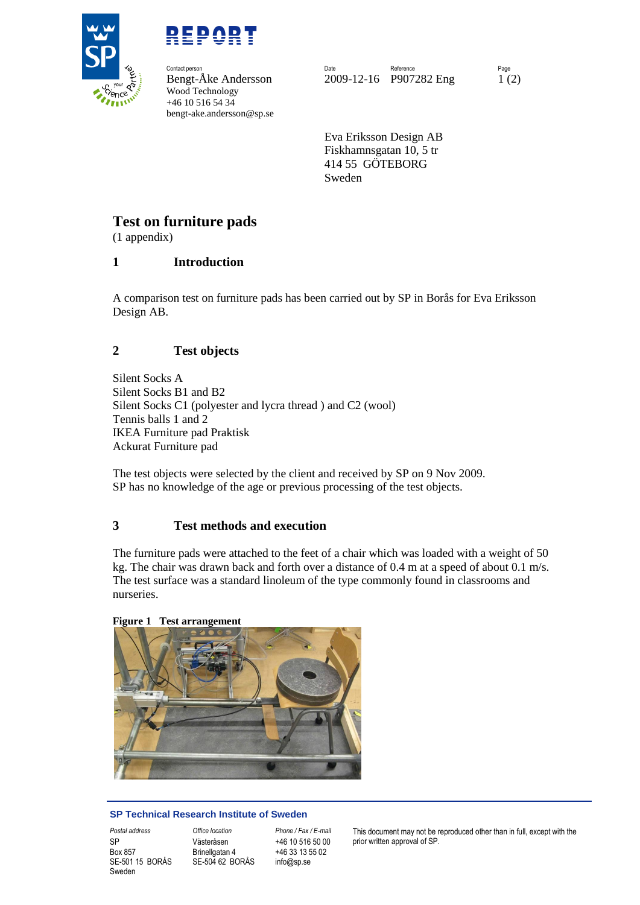



**Contact person** Wood Technology +46 10 516 54 34 bengt-ake.andersson@sp.se

Contact person **Contact person Reference** Page Reference Reference Reference Page Bengt-Åke Andersson 2009-12-16 P907282 Eng 1 (2)

> Eva Eriksson Design AB Fiskhamnsgatan 10, 5 tr 414 55 GÖTEBORG Sweden

### **Test on furniture pads**

(1 appendix)

### **1 Introduction**

A comparison test on furniture pads has been carried out by SP in Borås for Eva Eriksson Design AB.

### **2 Test objects**

Silent Socks A Silent Socks B1 and B2 Silent Socks C1 (polyester and lycra thread ) and C2 (wool) Tennis balls 1 and 2 IKEA Furniture pad Praktisk Ackurat Furniture pad

The test objects were selected by the client and received by SP on 9 Nov 2009. SP has no knowledge of the age or previous processing of the test objects.

#### **3 Test methods and execution**

The furniture pads were attached to the feet of a chair which was loaded with a weight of 50 kg. The chair was drawn back and forth over a distance of 0.4 m at a speed of about 0.1 m/s. The test surface was a standard linoleum of the type commonly found in classrooms and nurseries.

#### **Figure 1 Test arrangement**



#### **SP Technical Research Institute of Sweden**

Box 857 SE-501 15 BORÅS Sweden

Västeråsen Brinellgatan 4 SE-504 62 BORÅS

+46 10 516 50 00 +46 33 13 55 02 info@sp.se

*Postal address Office location Phone / Fax / E-mail* This document may not be reproduced other than in full, except with the SP Västeråsen +46 10 516 50 00 prior written approval of SP.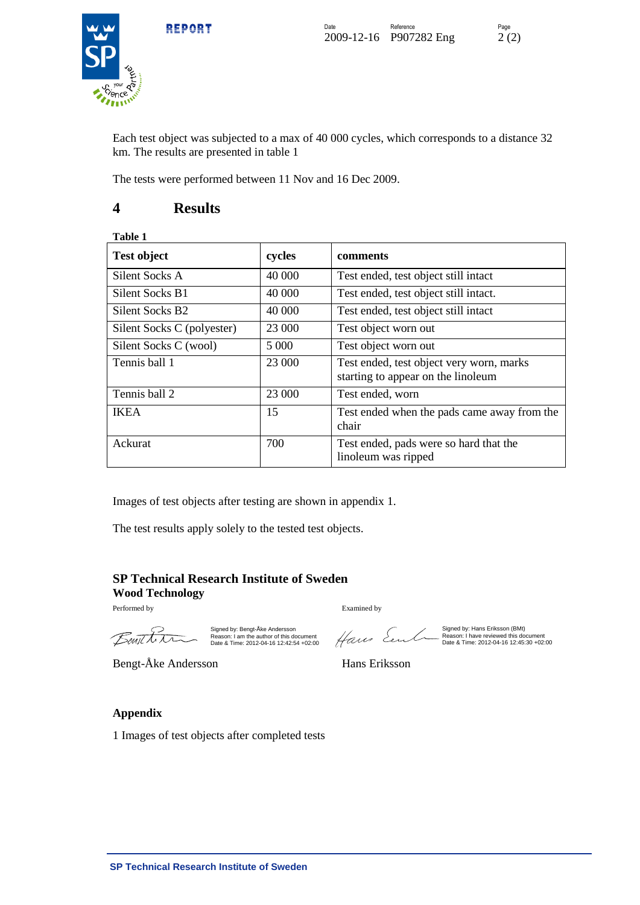



Each test object was subjected to a max of 40 000 cycles, which corresponds to a distance 32 km. The results are presented in table 1

The tests were performed between 11 Nov and 16 Dec 2009.

### **4 Results**

| <b>Test object</b>         | cycles  | comments                                                                       |
|----------------------------|---------|--------------------------------------------------------------------------------|
| Silent Socks A             | 40 000  | Test ended, test object still intact                                           |
| Silent Socks B1            | 40 000  | Test ended, test object still intact.                                          |
| Silent Socks B2            | 40 000  | Test ended, test object still intact                                           |
| Silent Socks C (polyester) | 23 000  | Test object worn out                                                           |
| Silent Socks C (wool)      | 5 0 0 0 | Test object worn out                                                           |
| Tennis ball 1              | 23 000  | Test ended, test object very worn, marks<br>starting to appear on the linoleum |
| Tennis ball 2              | 23 000  | Test ended, worn                                                               |
| <b>IKEA</b>                | 15      | Test ended when the pads came away from the<br>chair                           |
| Ackurat                    | 700     | Test ended, pads were so hard that the<br>linoleum was ripped                  |

Images of test objects after testing are shown in appendix 1.

The test results apply solely to the tested test objects.

### **SP Technical Research Institute of Sweden Wood Technology**

Performed by Examined by

Benithn

Signed by: Bengt-Åke Andersson Reason: I am the author of this document Date & Time: 2012-04-16 12:42:54 +02:00

Hans Eent

Signed by: Hans Eriksson (BMt) Reason: I have reviewed this document Date & Time: 2012-04-16 12:45:30 +02:00

Bengt-Åke Andersson Hans Eriksson

#### **Appendix**

1 Images of test objects after completed tests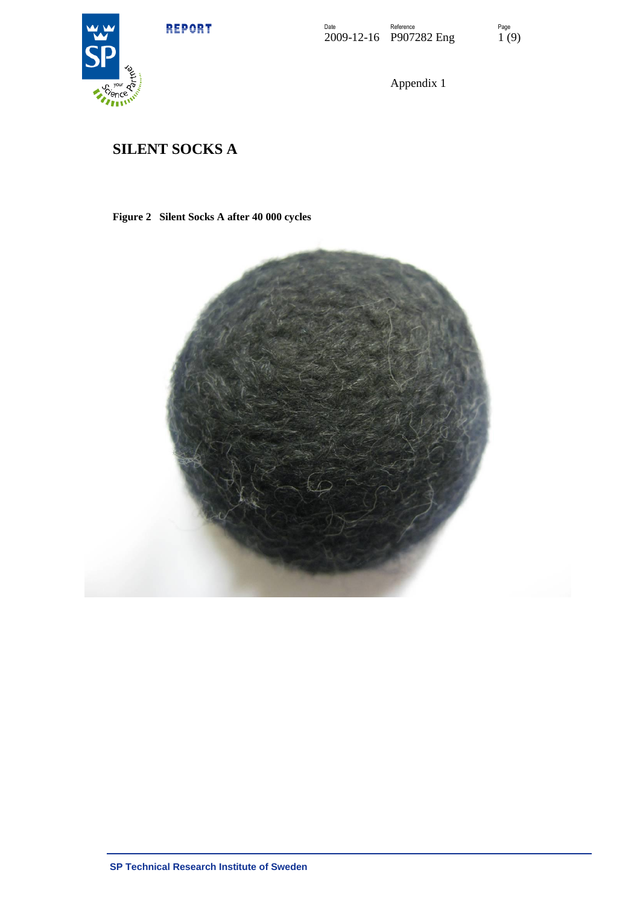

Appendix 1

### **SILENT SOCKS A**

### **Figure 2 Silent Socks A after 40 000 cycles**

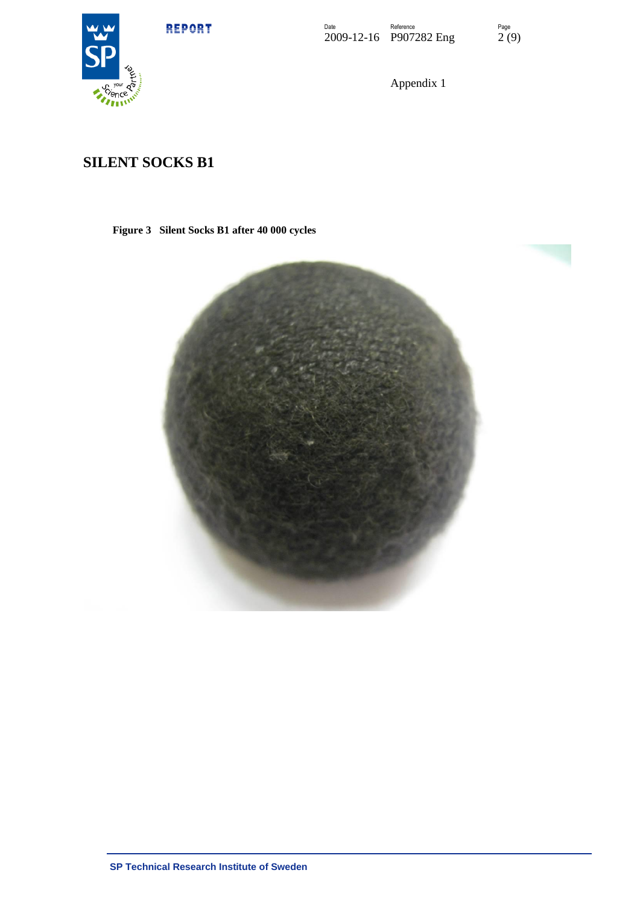



Appendix 1

### **SILENT SOCKS B1**

**Figure 3 Silent Socks B1 after 40 000 cycles**

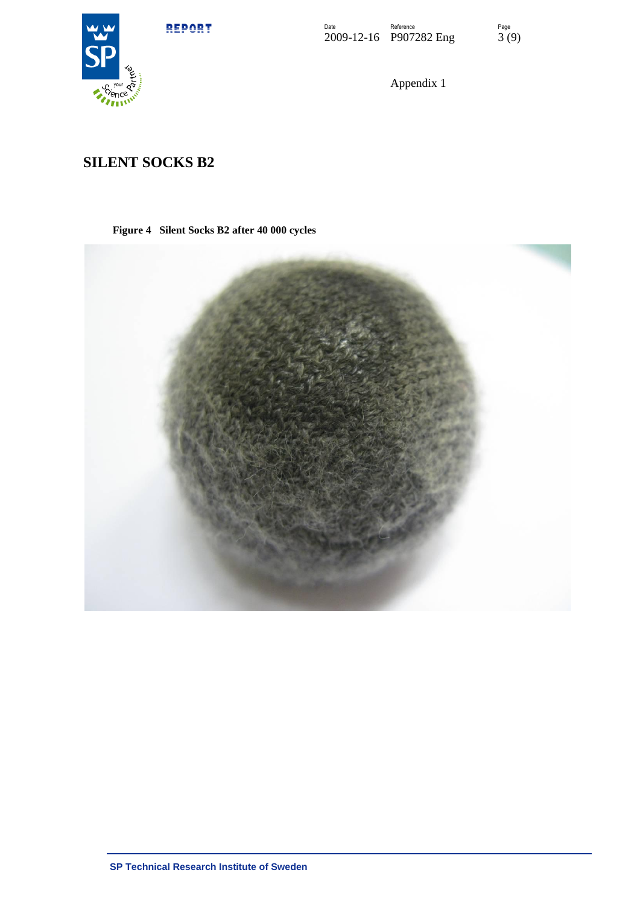



Appendix 1

## **SILENT SOCKS B2**

**Figure 4 Silent Socks B2 after 40 000 cycles**

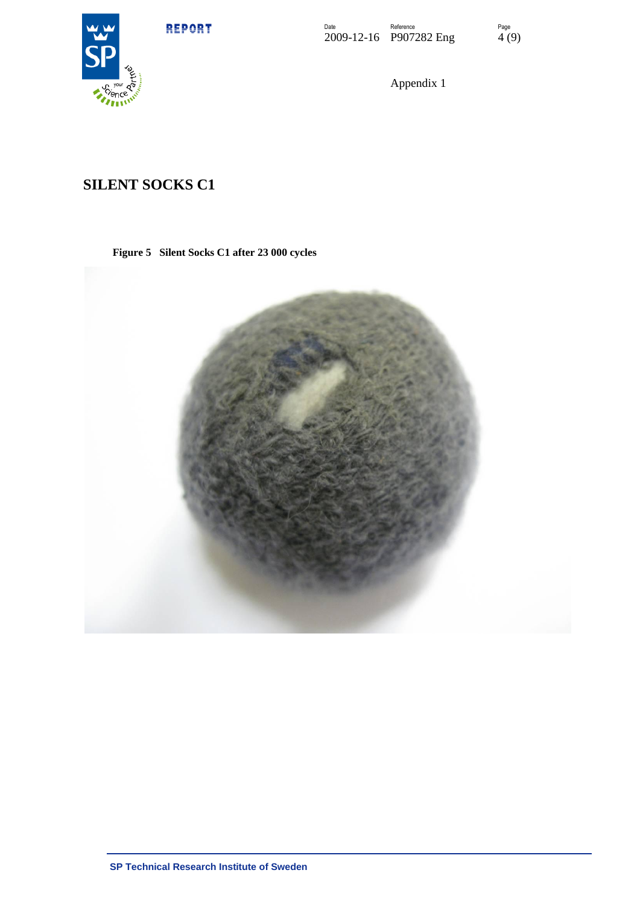

Appendix 1

### **SILENT SOCKS C1**

### **Figure 5 Silent Socks C1 after 23 000 cycles**

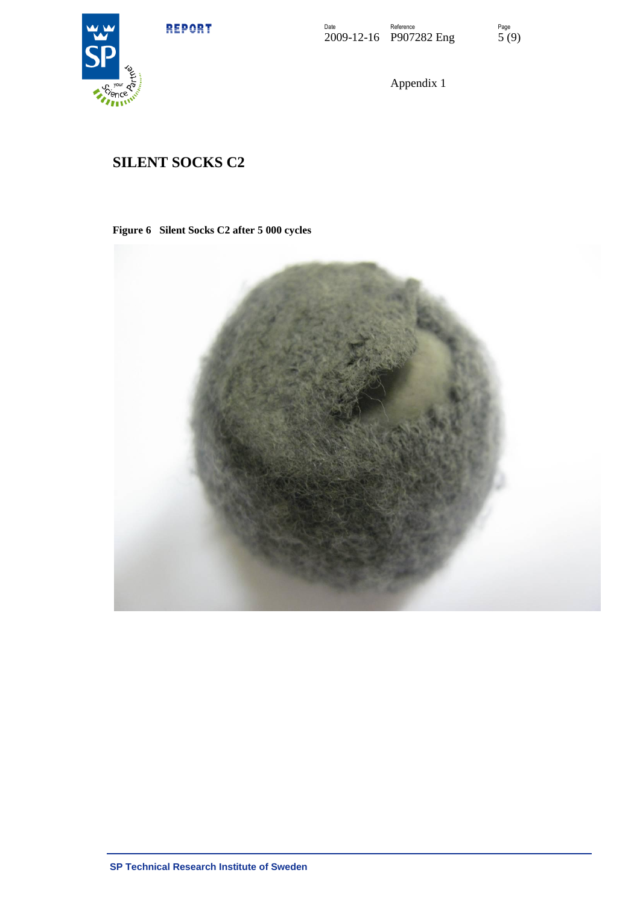



Appendix 1

## **SILENT SOCKS C2**

**Figure 6 Silent Socks C2 after 5 000 cycles**

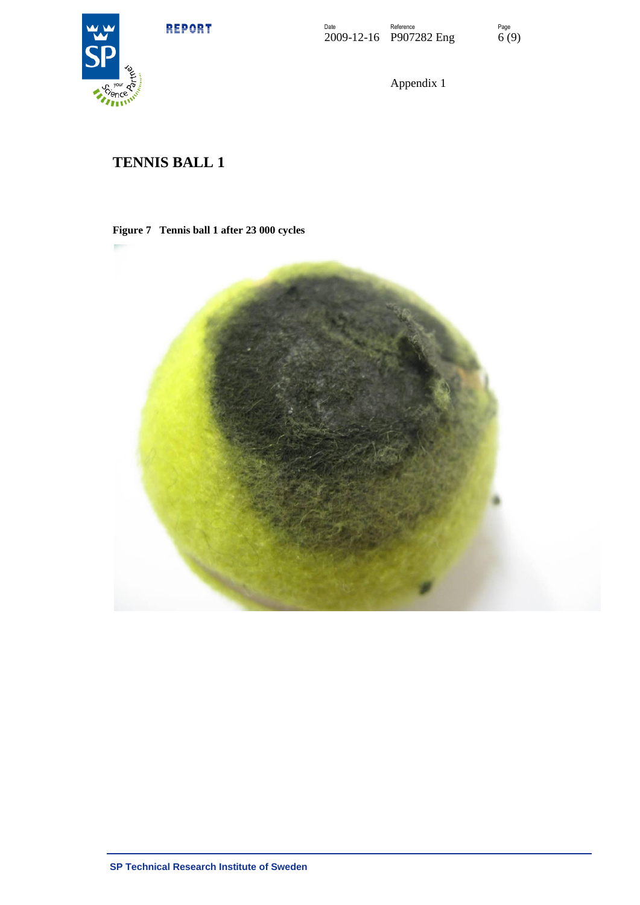

Appendix 1

# **TENNIS BALL 1**

#### **Figure 7 Tennis ball 1 after 23 000 cycles**

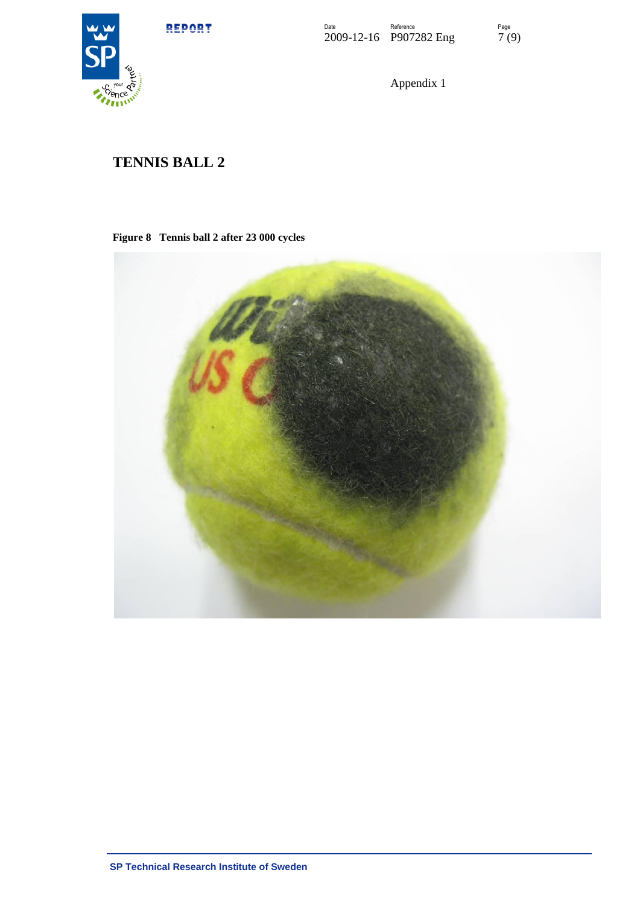

Appendix 1

# **TENNIS BALL 2**

### **Figure 8 Tennis ball 2 after 23 000 cycles**

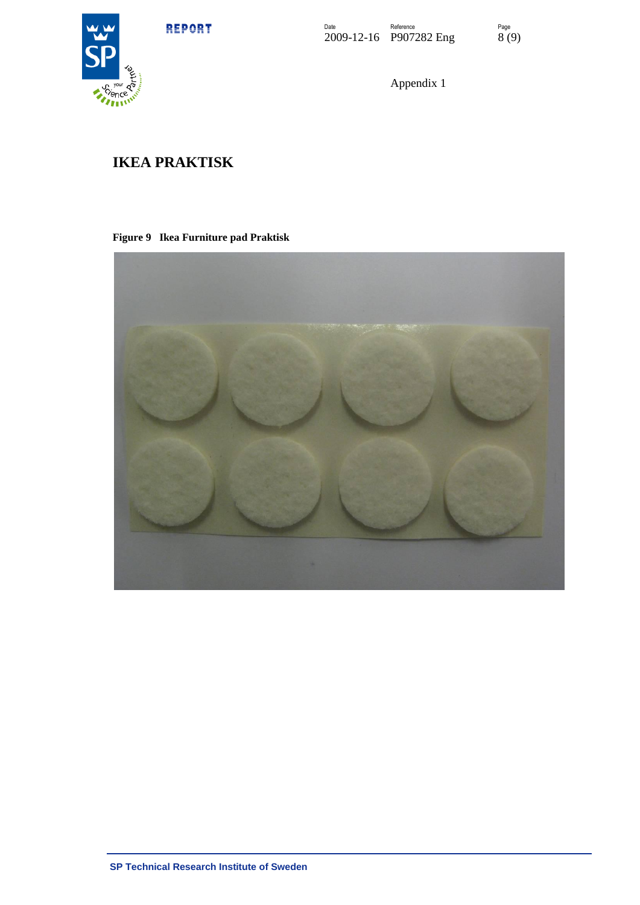



Appendix 1

## **IKEA PRAKTISK**

### **Figure 9 Ikea Furniture pad Praktisk**